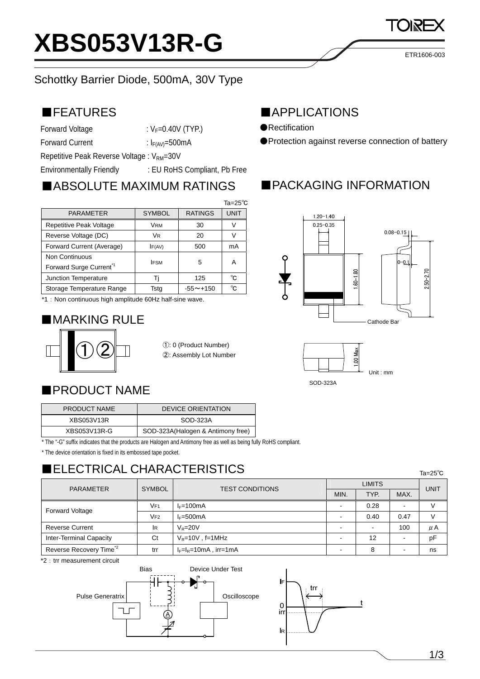

#### Schottky Barrier Diode, 500mA, 30V Type

#### ■FEATURES

Forward Voltage  $V_F=0.40V$  (TYP.)

Forward Current :  $I_{F(AV)} = 500mA$ 

Repetitive Peak Reverse Voltage : V<sub>RM</sub>=30V

Environmentally Friendly : EU RoHS Compliant, Pb Free

# ■ABSOLUTE MAXIMUM RATINGS

|                                                      |                |                 | $Ta = 25^{\circ}C$ |
|------------------------------------------------------|----------------|-----------------|--------------------|
| <b>PARAMETER</b>                                     | <b>SYMBOL</b>  | <b>RATINGS</b>  | UNIT               |
| Repetitive Peak Voltage                              | <b>VRM</b>     | 30              |                    |
| Reverse Voltage (DC)                                 | V <sub>R</sub> | 20              |                    |
| Forward Current (Average)                            | IF(AV)         | 500             | mA                 |
| Non Continuous<br>Forward Surge Current <sup>1</sup> | <b>IFSM</b>    | 5               | Α                  |
| Junction Temperature                                 |                | 125             | °C                 |
| Storage Temperature Range                            | Tsta           | $-55 \sim +150$ | °C                 |

\*1:Non continuous high amplitude 60Hz half-sine wave.

## ■MARKING RULE



①: 0 (Product Number) ②: Assembly Lot Number

## ■PRODUCT NAME

| PRODUCT NAME | <b>DEVICE ORIENTATION</b>         |  |  |
|--------------|-----------------------------------|--|--|
| XBS053V13R   | SOD-323A                          |  |  |
| XBS053V13R-G | SOD-323A(Halogen & Antimony free) |  |  |

\* The "-G" suffix indicates that the products are Halogen and Antimony free as well as being fully RoHS compliant.

\* The device orientation is fixed in its embossed tape pocket.

# ■ELECTRICAL CHARACTERISTICS

| <b>PARAMETER</b>                    | <b>SYMBOL</b>   | <b>TEST CONDITIONS</b>   | <b>LIMITS</b> |      |      | <b>UNIT</b> |
|-------------------------------------|-----------------|--------------------------|---------------|------|------|-------------|
|                                     |                 |                          | MIN.          | TYP. | MAX. |             |
| <b>Forward Voltage</b>              | VF1             | $I_F = 100mA$            | -             | 0.28 |      |             |
|                                     | V <sub>F2</sub> | $I_F = 500mA$            |               | 0.40 | 0.47 |             |
| <b>Reverse Current</b>              | lR.             | $V_P = 20V$              |               |      | 100  | μA          |
| Inter-Terminal Capacity             | Ct              | $V_R = 10V$ , f=1MHz     |               | 12   |      | pF          |
| Reverse Recovery Time <sup>*2</sup> | trr             | $I_F=I_R=10mA$ , irr=1mA |               |      |      | ns          |

\*2 : trr measurement circuit



#### ■APPLICATIONS

- ●Rectification
- ●Protection against reverse connection of battery

ETR1606-003

## ■PACKAGING INFORMATION







Ta=25℃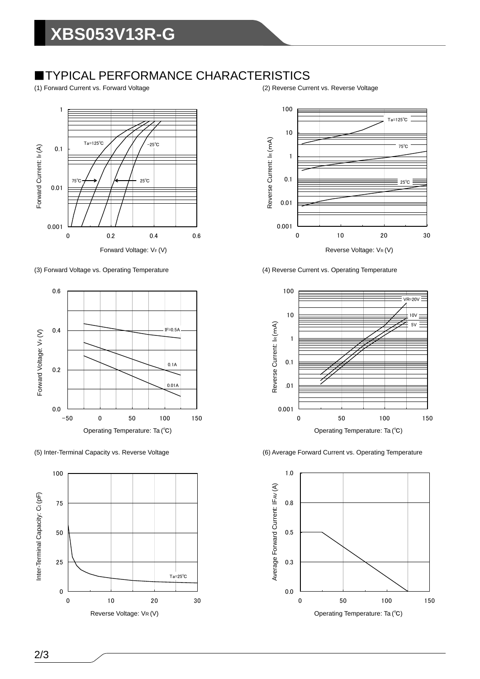## ■TYPICAL PERFORMANCE CHARACTERISTICS

(1) Forward Current vs. Forward Voltage (2) Reverse Current vs. Reverse Voltage



(3) Forward Voltage vs. Operating Temperature (4) Reverse Current vs. Operating Temperature









(5) Inter-Terminal Capacity vs. Reverse Voltage (6) Average Forward Current vs. Operating Temperature